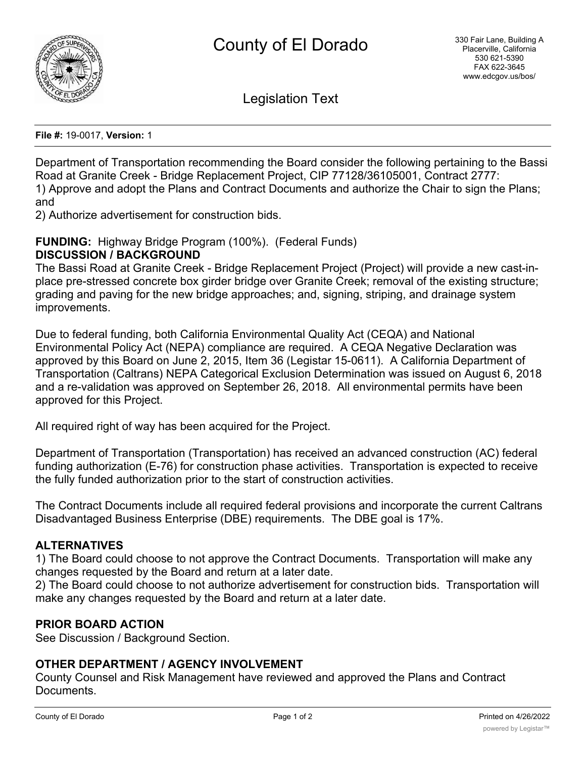

Legislation Text

**File #:** 19-0017, **Version:** 1

Department of Transportation recommending the Board consider the following pertaining to the Bassi Road at Granite Creek - Bridge Replacement Project, CIP 77128/36105001, Contract 2777: 1) Approve and adopt the Plans and Contract Documents and authorize the Chair to sign the Plans; and

2) Authorize advertisement for construction bids.

## **FUNDING:** Highway Bridge Program (100%). (Federal Funds) **DISCUSSION / BACKGROUND**

The Bassi Road at Granite Creek - Bridge Replacement Project (Project) will provide a new cast-inplace pre-stressed concrete box girder bridge over Granite Creek; removal of the existing structure; grading and paving for the new bridge approaches; and, signing, striping, and drainage system improvements.

Due to federal funding, both California Environmental Quality Act (CEQA) and National Environmental Policy Act (NEPA) compliance are required. A CEQA Negative Declaration was approved by this Board on June 2, 2015, Item 36 (Legistar 15-0611). A California Department of Transportation (Caltrans) NEPA Categorical Exclusion Determination was issued on August 6, 2018 and a re-validation was approved on September 26, 2018. All environmental permits have been approved for this Project.

All required right of way has been acquired for the Project.

Department of Transportation (Transportation) has received an advanced construction (AC) federal funding authorization (E-76) for construction phase activities. Transportation is expected to receive the fully funded authorization prior to the start of construction activities.

The Contract Documents include all required federal provisions and incorporate the current Caltrans Disadvantaged Business Enterprise (DBE) requirements. The DBE goal is 17%.

# **ALTERNATIVES**

1) The Board could choose to not approve the Contract Documents. Transportation will make any changes requested by the Board and return at a later date.

2) The Board could choose to not authorize advertisement for construction bids. Transportation will make any changes requested by the Board and return at a later date.

# **PRIOR BOARD ACTION**

See Discussion / Background Section.

## **OTHER DEPARTMENT / AGENCY INVOLVEMENT**

County Counsel and Risk Management have reviewed and approved the Plans and Contract Documents.